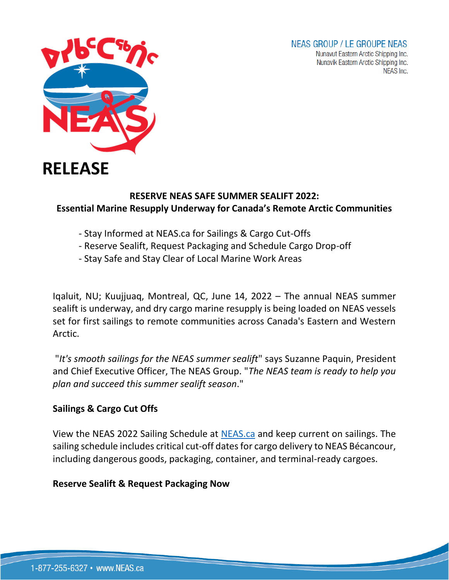# **NEAS GROUP / LE GROUPE NEAS**

Nunavut Eastern Arctic Shipping Inc. Nunavik Eastern Arctic Shipping Inc. NEAS Inc.



# **RESERVE NEAS SAFE SUMMER SEALIFT 2022: Essential Marine Resupply Underway for Canada's Remote Arctic Communities**

- Stay Informed at NEAS.ca for Sailings & Cargo Cut-Offs
- Reserve Sealift, Request Packaging and Schedule Cargo Drop-off
- Stay Safe and Stay Clear of Local Marine Work Areas

Iqaluit, NU; Kuujjuaq, Montreal, QC, June 14, 2022 – The annual NEAS summer sealift is underway, and dry cargo marine resupply is being loaded on NEAS vessels set for first sailings to remote communities across Canada's Eastern and Western Arctic.

"*It's smooth sailings for the NEAS summer sealift*" says Suzanne Paquin, President and Chief Executive Officer, The NEAS Group. "*The NEAS team is ready to help you plan and succeed this summer sealift season*."

# **Sailings & Cargo Cut Offs**

View the NEAS 2022 Sailing Schedule at [NEAS.ca](https://neas.ca/wp-content/uploads/sailing_schedule.pdf) and keep current on sailings. The sailing schedule includes critical cut-off dates for cargo delivery to NEAS Bécancour, including dangerous goods, packaging, container, and terminal-ready cargoes.

### **Reserve Sealift & Request Packaging Now**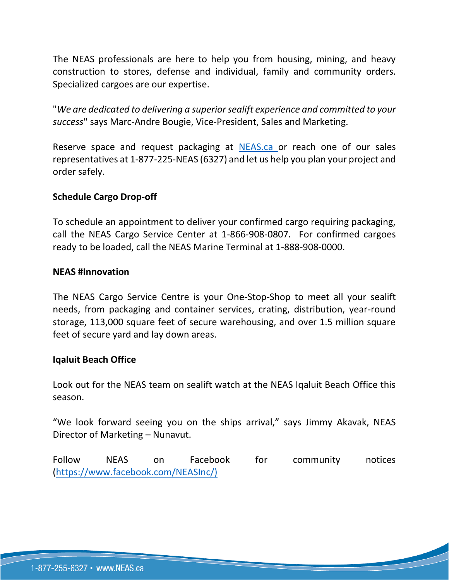The NEAS professionals are here to help you from housing, mining, and heavy construction to stores, defense and individual, family and community orders. Specialized cargoes are our expertise.

"*We are dedicated to delivering a superior sealift experience and committed to your success*" says Marc-Andre Bougie, Vice-President, Sales and Marketing.

Reserve space and request packaging at [NEAS.ca](https://neas.ca/) or reach one of our sales representatives at 1-877-225-NEAS (6327) and let us help you plan your project and order safely.

## **Schedule Cargo Drop-off**

To schedule an appointment to deliver your confirmed cargo requiring packaging, call the NEAS Cargo Service Center at 1-866-908-0807. For confirmed cargoes ready to be loaded, call the NEAS Marine Terminal at 1-888-908-0000.

### **NEAS #Innovation**

The NEAS Cargo Service Centre is your One-Stop-Shop to meet all your sealift needs, from packaging and container services, crating, distribution, year-round storage, 113,000 square feet of secure warehousing, and over 1.5 million square feet of secure yard and lay down areas.

### **Iqaluit Beach Office**

Look out for the NEAS team on sealift watch at the NEAS Iqaluit Beach Office this season.

"We look forward seeing you on the ships arrival," says Jimmy Akavak, NEAS Director of Marketing – Nunavut.

Follow NEAS on Facebook for community notices [\(https://www.facebook.com/NEASInc/\)](https://www.facebook.com/NEASInc/))